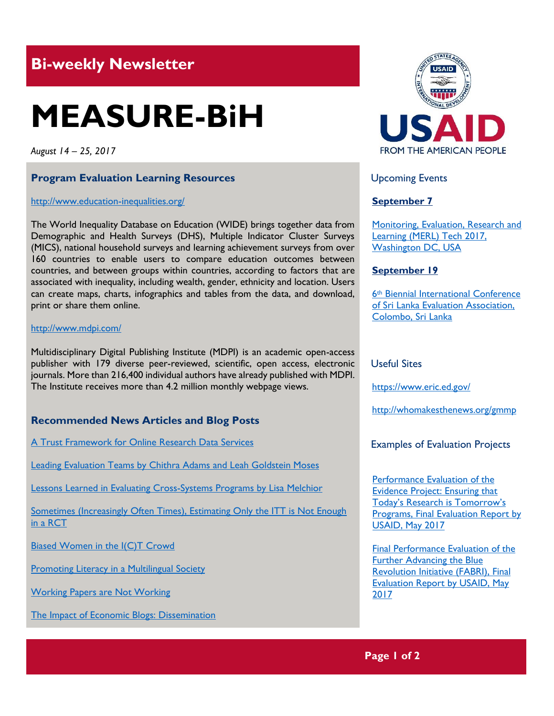# **Bi-weekly Newsletter**

# **MEASURE-BiH**

*August 14 – 25, 2017*

# **Program Evaluation Learning Resources**

#### <http://www.education-inequalities.org/>

The World Inequality Database on Education (WIDE) brings together data from Demographic and Health Surveys (DHS), Multiple Indicator Cluster Surveys (MICS), national household surveys and learning achievement surveys from over 160 countries to enable users to compare education outcomes between countries, and between groups within countries, according to factors that are associated with inequality, including wealth, gender, ethnicity and location. Users can create maps, charts, infographics and tables from the data, and download, print or share them online.

#### [http://w](http://ihsn.org/)ww.mdpi.com/

Multidisciplinary Digital Publishing Institute (MDPI) is an academic open-access publisher with 179 diverse peer-reviewed, scientific, open access, electronic journals. More than 216,400 individual authors have already published with MDPI. The Institute receives more than 4.2 million monthly webpage views.

# **Recommended News Articles and Blog Posts**

[A Trust Framework for Online Research Data Services](http://www.mdpi.com/2304-6775/5/2/14/htm)

Leading Evaluation Teams by Chithra Adams and Leah Goldstein Moses

[Lessons Learned in Evaluating Cross-Systems Programs by Lisa](https://blogs.worldbank.org/impactevaluations/sometimes-increasingly-often-times-estimating-only-itt-not-enough-rct) Melchior

Sometimes (Increasingly Often Times), Estimating Only the ITT is Not Enough [in a RCT](https://blogs.worldbank.org/impactevaluations/sometimes-increasingly-often-times-estimating-only-itt-not-enough-rct)

[Biased Women in the I\(C\)T Crowd](https://blogs.worldbank.org/impactevaluations/biased-women-ict-crowd)

**[Promoting Literacy in a Multilingual Society](https://gemreportunesco.wordpress.com/2017/08/11/promoting-literacy-in-a-multilingual-society/)** 

[Working Papers are Not Working](http://blogs.worldbank.org/impactevaluations/working-papers-are-not-working)

[The Impact of Economic Blogs: Dissemination](http://blogs.worldbank.org/impactevaluations/the-impact-of-economic-blogs-part-i-dissemination-aka-check-out-these-cool-graphs)



Upcoming Events

# **September 7**

[Monitoring, Evaluation, Research and](http://mande.co.uk/conferences/?event_id1=35)  [Learning \(MERL\) Tech 2017,](http://mande.co.uk/conferences/?event_id1=35)  [Washington DC, USA](http://mande.co.uk/conferences/?event_id1=35)

# **September 19**

6th [Biennial International Conference](http://mande.co.uk/conferences/?event_id1=34)  [of Sri Lanka Evaluation Association,](http://mande.co.uk/conferences/?event_id1=34)  [Colombo, Sri Lanka](http://mande.co.uk/conferences/?event_id1=34)

# Useful Sites

[https://w](https://euagencies.eu/)ww.eric.ed.gov/

http://whomakesthenews.org/gmmp

Examples of Evaluation Projects

[Performance Evaluation of the](https://dec.usaid.gov/dec/content/Detail.aspx?q=KERvY3VtZW50cy5CaWJ0eXBlX05hbWU6KCgiU3BlY2lhbCBFdmFsdWF0aW9uIikgT1IgKCJGaW5hbCBFdmFsdWF0aW9uIFJlcG9ydCIpKSk=&ctID=ODVhZjk4NWQtM2YyMi00YjRmLTkxNjktZTcxMjM2NDBmY2Uy&rID=MzkyNzgy&qcf=&ph=VHJ1ZQ==&bckToL=VHJ1ZQ==&)  [Evidence Project: Ensuring that](https://dec.usaid.gov/dec/content/Detail.aspx?q=KERvY3VtZW50cy5CaWJ0eXBlX05hbWU6KCgiU3BlY2lhbCBFdmFsdWF0aW9uIikgT1IgKCJGaW5hbCBFdmFsdWF0aW9uIFJlcG9ydCIpKSk=&ctID=ODVhZjk4NWQtM2YyMi00YjRmLTkxNjktZTcxMjM2NDBmY2Uy&rID=MzkyNzgy&qcf=&ph=VHJ1ZQ==&bckToL=VHJ1ZQ==&)  [Today's Research is Tomorrow's](https://dec.usaid.gov/dec/content/Detail.aspx?q=KERvY3VtZW50cy5CaWJ0eXBlX05hbWU6KCgiU3BlY2lhbCBFdmFsdWF0aW9uIikgT1IgKCJGaW5hbCBFdmFsdWF0aW9uIFJlcG9ydCIpKSk=&ctID=ODVhZjk4NWQtM2YyMi00YjRmLTkxNjktZTcxMjM2NDBmY2Uy&rID=MzkyNzgy&qcf=&ph=VHJ1ZQ==&bckToL=VHJ1ZQ==&)  **Programs, Final Evaluation Report by** [USAID, May 2017](https://dec.usaid.gov/dec/content/Detail.aspx?q=KERvY3VtZW50cy5CaWJ0eXBlX05hbWU6KCgiU3BlY2lhbCBFdmFsdWF0aW9uIikgT1IgKCJGaW5hbCBFdmFsdWF0aW9uIFJlcG9ydCIpKSk=&ctID=ODVhZjk4NWQtM2YyMi00YjRmLTkxNjktZTcxMjM2NDBmY2Uy&rID=MzkyNzgy&qcf=&ph=VHJ1ZQ==&bckToL=VHJ1ZQ==&)

[Final Performance Evaluation of the](https://dec.usaid.gov/dec/content/Detail.aspx?q=KERvY3VtZW50cy5CaWJ0eXBlX05hbWU6KCgiU3BlY2lhbCBFdmFsdWF0aW9uIikgT1IgKCJGaW5hbCBFdmFsdWF0aW9uIFJlcG9ydCIpKSk=&ctID=ODVhZjk4NWQtM2YyMi00YjRmLTkxNjktZTcxMjM2NDBmY2Uy&rID=MzkxOTUy&qcf=&ph=VHJ1ZQ==&bckToL=VHJ1ZQ==&)  [Further Advancing the Blue](https://dec.usaid.gov/dec/content/Detail.aspx?q=KERvY3VtZW50cy5CaWJ0eXBlX05hbWU6KCgiU3BlY2lhbCBFdmFsdWF0aW9uIikgT1IgKCJGaW5hbCBFdmFsdWF0aW9uIFJlcG9ydCIpKSk=&ctID=ODVhZjk4NWQtM2YyMi00YjRmLTkxNjktZTcxMjM2NDBmY2Uy&rID=MzkxOTUy&qcf=&ph=VHJ1ZQ==&bckToL=VHJ1ZQ==&)  [Revolution Initiative \(FABRI\), Final](https://dec.usaid.gov/dec/content/Detail.aspx?q=KERvY3VtZW50cy5CaWJ0eXBlX05hbWU6KCgiU3BlY2lhbCBFdmFsdWF0aW9uIikgT1IgKCJGaW5hbCBFdmFsdWF0aW9uIFJlcG9ydCIpKSk=&ctID=ODVhZjk4NWQtM2YyMi00YjRmLTkxNjktZTcxMjM2NDBmY2Uy&rID=MzkxOTUy&qcf=&ph=VHJ1ZQ==&bckToL=VHJ1ZQ==&)  [Evaluation Report by USAID, May](https://dec.usaid.gov/dec/content/Detail.aspx?q=KERvY3VtZW50cy5CaWJ0eXBlX05hbWU6KCgiU3BlY2lhbCBFdmFsdWF0aW9uIikgT1IgKCJGaW5hbCBFdmFsdWF0aW9uIFJlcG9ydCIpKSk=&ctID=ODVhZjk4NWQtM2YyMi00YjRmLTkxNjktZTcxMjM2NDBmY2Uy&rID=MzkxOTUy&qcf=&ph=VHJ1ZQ==&bckToL=VHJ1ZQ==&)  [2017](https://dec.usaid.gov/dec/content/Detail.aspx?q=KERvY3VtZW50cy5CaWJ0eXBlX05hbWU6KCgiU3BlY2lhbCBFdmFsdWF0aW9uIikgT1IgKCJGaW5hbCBFdmFsdWF0aW9uIFJlcG9ydCIpKSk=&ctID=ODVhZjk4NWQtM2YyMi00YjRmLTkxNjktZTcxMjM2NDBmY2Uy&rID=MzkxOTUy&qcf=&ph=VHJ1ZQ==&bckToL=VHJ1ZQ==&)

**Page 1 of 2**